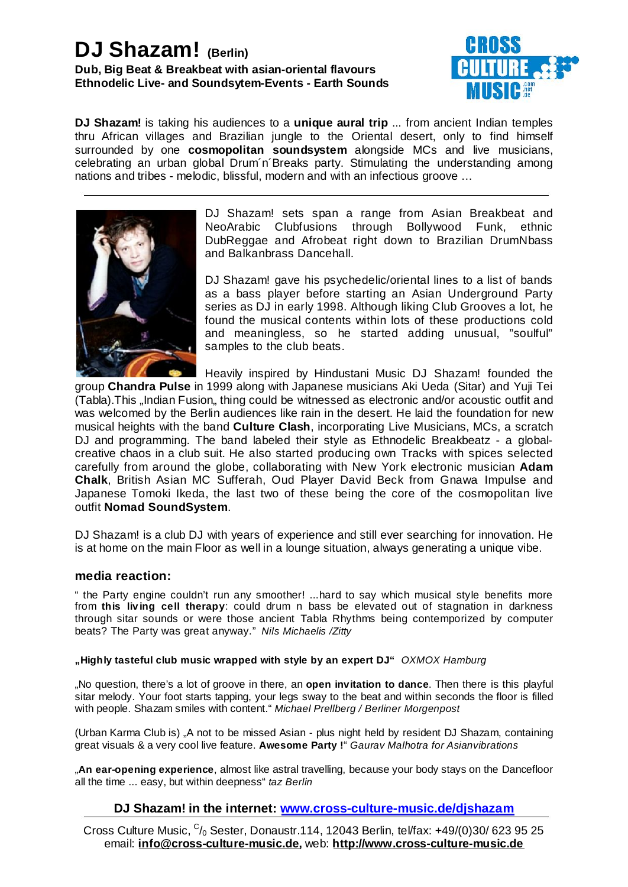# **DJ Shazam! (Berlin) Dub, Big Beat & Breakbeat with asian-oriental flavours Ethnodelic Live- and Soundsytem-Events - Earth Sounds**



**DJ Shazam!** is taking his audiences to a unique aural trip ... from ancient Indian temples surrounded by one **cosmopolitan soundsystem** alongside MCs and live musicians, thru African villages and Brazilian jungle to the Oriental desert, only to find himself celebrating an urban global Drum´n´Breaks party. Stimulating the understanding among nations and tribes - melodic, blissful, modern and with an infectious groove …



DJ Shazam! sets span a range from Asian Breakbeat and NeoArabic Clubfusions through Bollywood Funk, ethnic DubReggae and Afrobeat right down to Brazilian DrumNbass and Balkanbrass Dancehall.

DJ Shazam! gave his psychedelic/oriental lines to a list of bands as a bass player before starting an Asian Underground Party series as DJ in early 1998. Although liking Club Grooves a lot, he found the musical contents within lots of these productions cold and meaningless, so he started adding unusual, "soulful" samples to the club beats.

group **Chandra Pulse** in 1999 along with Japanese musicians Aki Ueda (Sitar) and Yuji Tei musical heights with the band **Culture Clash**, incorporating Live Musicians, MCs, a scratch carefully from around the globe, collaborating with New York electronic musician Adam **Chalk** , British Asian MC Sufferah, Oud Player David Beck from Gnawa Impulse and outfit Nomad SoundSystem. Heavily inspired by Hindustani Music DJ Shazam! founded the (Tabla).This "Indian Fusion" thing could be witnessed as electronic and/or acoustic outfit and was welcomed by the Berlin audiences like rain in the desert. He laid the foundation for new DJ and programming. The band labeled their style as Ethnodelic Breakbeatz - a globalcreative chaos in a club suit. He also started producing own Tracks with spices selected Japanese Tomoki Ikeda, the last two of these being the core of the cosmopolitan live

DJ Shazam! is a club DJ with years of experience and still ever searching for innovation. He is at home on the main Floor as well in a lounge situation, always generating a unique vibe.

## **media reaction:**

from this living cell therapy: could drum n bass be elevated out of stagnation in darkness " the Party engine couldn't run any smoother! ...hard to say which musical style benefits more through sitar sounds or were those ancient Tabla Rhythms being contemporized by computer beats? The Party was great anyway." *Nils Michaelis /Zitty*

### **"Highly tasteful club music wrapped with style by an expert DJ"** *OXMOX Hamburg*

"No question, there's a lot of groove in there, an **open invitation to dance**. Then there is this playful sitar melody. Your foot starts tapping, your legs sway to the beat and within seconds the floor is filled with people. Shazam smiles with content." *Michael Prellberg / Berliner Morgenpost*

**Awesome Party !** great visuals & a very cool live feature. " *Gaurav Malhotra for Asianvibrations* (Urban Karma Club is) "A not to be missed Asian - plus night held by resident DJ Shazam, containing

"**An ear-opening experience**, almost like astral travelling, because your body stays on the Dancefloor all the time ... easy, but within deepness" *taz Berlin*

## **DJ Shazam! in the internet: www.cross-culture-music.de/djshazam**

email: **info@cross-culture-music.de**, web: **http://www.cross-culture-music.de** Cross Culture Music, <sup>C</sup>/<sub>0</sub> Sester, Donaustr.114, 12043 Berlin, tel/fax: +49/(0)30/ 623 95 25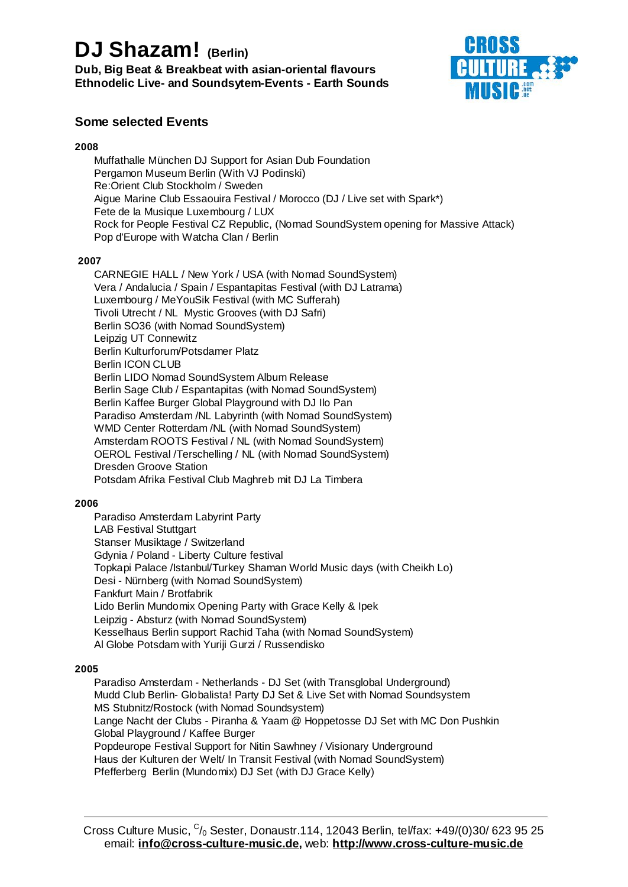# **DJ Shazam! (Berlin)**

**Dub, Big Beat & Breakbeat with asian-oriental flavours Ethnodelic Live- and Soundsytem-Events - Earth Sounds**



# **Some selected Events**

### **2008**

- Muffathalle München DJ Support for Asian Dub Foundation €
- Pergamon Museum Berlin (With VJ Podinski) €
- Re:Orient Club Stockholm / Sweden €
- Aigue Marine Club Essaouira Festival / Morocco (DJ / Live set with Spark\*) €
- Fete de la Musique Luxembourg / LUX €
- Rock for People Festival CZ Republic, (Nomad SoundSystem opening for Massive Attack) €
- Pop d'Europe with Watcha Clan / Berlin €

### **2007**

- CARNEGIE HALL / New York / USA (with Nomad SoundSystem) €
- Vera / Andalucia / Spain / Espantapitas Festival (with DJ Latrama) €
- Luxembourg / MeYouSik Festival (with MC Sufferah) €
- Tivoli Utrecht / NL Mystic Grooves (with DJ Safri) €
- Berlin SO36 (with Nomad SoundSystem) €
- Leipzig UT Connewitz €
- Berlin Kulturforum/Potsdamer Platz €
- Berlin ICON CLUB €
- Berlin LIDO Nomad SoundSystem Album Release €
- Berlin Sage Club / Espantapitas (with Nomad SoundSystem) €
- Berlin Kaffee Burger Global Playground with DJ Ilo Pan €
- Paradiso Amsterdam /NL Labyrinth (with Nomad SoundSystem) €
- WMD Center Rotterdam /NL (with Nomad SoundSystem) €
- Amsterdam ROOTS Festival / NL (with Nomad SoundSystem) €
- OEROL Festival /Terschelling / NL (with Nomad SoundSystem) €
- Dresden Groove Station €
- Potsdam Afrika Festival Club Maghreb mit DJ La Timbera €

### **2006**

- Paradiso Amsterdam Labyrint Party €
- LAB Festival Stuttgart €
- Stanser Musiktage / Switzerland €
- Gdynia / Poland Liberty Culture festival €
- Topkapi Palace /Istanbul/Turkey Shaman World Music days (with Cheikh Lo) €
- Desi Nürnberg (with Nomad SoundSystem) €
- Fankfurt Main / Brotfabrik €
- Lido Berlin Mundomix Opening Party with Grace Kelly & Ipek €
- Leipzig Absturz (with Nomad SoundSystem) €
- Kesselhaus Berlin support Rachid Taha (with Nomad SoundSystem) €
- Al Globe Potsdam with Yuriji Gurzi / Russendisko €

#### **2005**

- Paradiso Amsterdam Netherlands DJ Set (with Transglobal Underground) €
- Mudd Club Berlin- Globalista! Party DJ Set & Live Set with Nomad Soundsystem €
- MS Stubnitz/Rostock (with Nomad Soundsystem) €
- Lange Nacht der Clubs Piranha & Yaam @ Hoppetosse DJ Set with MC Don Pushkin €
- Global Playground / Kaffee Burger €
- Popdeurope Festival Support for Nitin Sawhney / Visionary Underground €
- Haus der Kulturen der Welt/ In Transit Festival (with Nomad SoundSystem) €
- Pfefferberg Berlin (Mundomix) DJ Set (with DJ Grace Kelly) €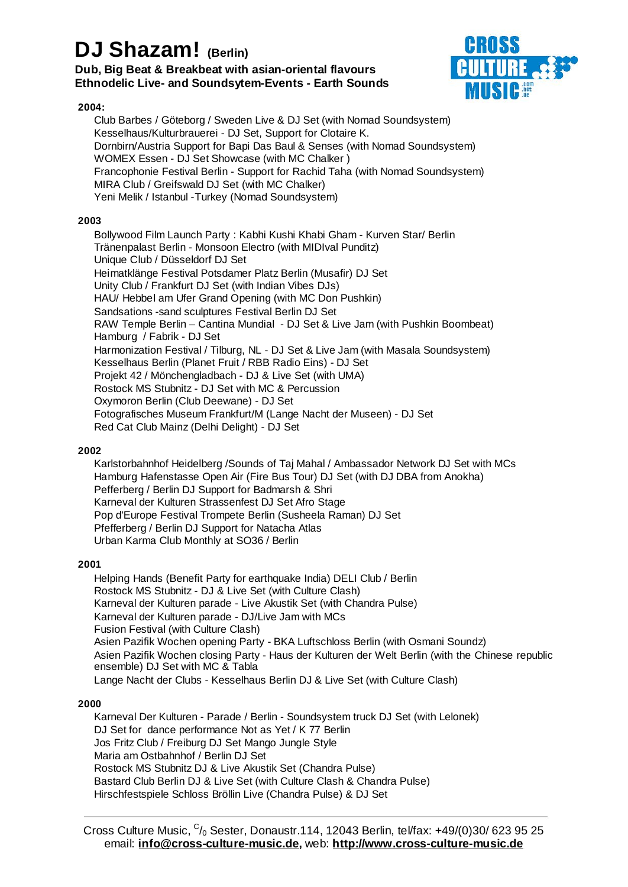# **DJ Shazam! (Berlin)**

## **Dub, Big Beat & Breakbeat with asian-oriental flavours Ethnodelic Live- and Soundsytem-Events - Earth Sounds**

### **2004:**

- Club Barbes / Göteborg / Sweden Live & DJ Set (with Nomad Soundsystem) €
- Kesselhaus/Kulturbrauerei DJ Set, Support for Clotaire K. €
- Dornbirn/Austria Support for Bapi Das Baul & Senses (with Nomad Soundsystem) €
- WOMEX Essen DJ Set Showcase (with MC Chalker ) €
- Francophonie Festival Berlin Support for Rachid Taha (with Nomad Soundsystem) €
- MIRA Club / Greifswald DJ Set (with MC Chalker) €
- Yeni Melik / Istanbul -Turkey (Nomad Soundsystem) €

### **2003**

- Bollywood Film Launch Party : Kabhi Kushi Khabi Gham Kurven Star/ Berlin €
- Tränenpalast Berlin Monsoon Electro (with MIDIval Punditz) €
- Unique Club / Düsseldorf DJ Set €
- Heimatklänge Festival Potsdamer Platz Berlin (Musafir) DJ Set €
- Unity Club / Frankfurt DJ Set (with Indian Vibes DJs) €
- HAU/ Hebbel am Ufer Grand Opening (with MC Don Pushkin) €
- Sandsations -sand sculptures Festival Berlin DJ Set €
- RAW Temple Berlin Cantina Mundial DJ Set & Live Jam (with Pushkin Boombeat) €
- Hamburg / Fabrik DJ Set €
- Harmonization Festival / Tilburg, NL DJ Set & Live Jam (with Masala Soundsystem) €
- Kesselhaus Berlin (Planet Fruit / RBB Radio Eins) DJ Set €
- Projekt 42 / Mönchengladbach DJ & Live Set (with UMA) €
- Rostock MS Stubnitz DJ Set with MC & Percussion €
- Oxymoron Berlin (Club Deewane) DJ Set €
- Fotografisches Museum Frankfurt/M (Lange Nacht der Museen) DJ Set €
- Red Cat Club Mainz (Delhi Delight) DJ Set €

### **2002**

- Karlstorbahnhof Heidelberg /Sounds of Taj Mahal / Ambassador Network DJ Set with MCs €
- Hamburg Hafenstasse Open Air (Fire Bus Tour) DJ Set (with DJ DBA from Anokha) €
- Pefferberg / Berlin DJ Support for Badmarsh & Shri €
- Karneval der Kulturen Strassenfest DJ Set Afro Stage €
- Pop d'Europe Festival Trompete Berlin (Susheela Raman) DJ Set €
- Pfefferberg / Berlin DJ Support for Natacha Atlas €
- Urban Karma Club Monthly at SO36 / Berlin €

## **2001**

- Helping Hands (Benefit Party for earthquake India) DELI Club / Berlin €
- Rostock MS Stubnitz DJ & Live Set (with Culture Clash) €
- Karneval der Kulturen parade Live Akustik Set (with Chandra Pulse) €
- Karneval der Kulturen parade DJ/Live Jam with MCs €
- Fusion Festival (with Culture Clash) €
- Asien Pazifik Wochen opening Party BKA Luftschloss Berlin (with Osmani Soundz) €
- Asien Pazifik Wochen closing Party Haus der Kulturen der Welt Berlin (with the Chinese republic € ensemble) DJ Set with MC & Tabla
- Lange Nacht der Clubs Kesselhaus Berlin DJ & Live Set (with Culture Clash) €

### **2000**

- Karneval Der Kulturen Parade / Berlin Soundsystem truck DJ Set (with Lelonek) €
- DJ Set for dance performance Not as Yet / K 77 Berlin €
- Jos Fritz Club / Freiburg DJ Set Mango Jungle Style €
- Maria am Ostbahnhof / Berlin DJ Set €
- Rostock MS Stubnitz DJ & Live Akustik Set (Chandra Pulse) €
- Bastard Club Berlin DJ & Live Set (with Culture Clash & Chandra Pulse) €
- Hirschfestspiele Schloss Bröllin Live (Chandra Pulse) & DJ Set €